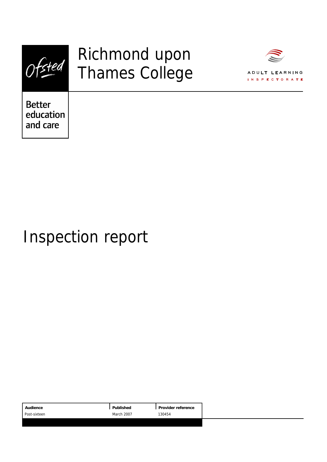

# Richmond upon Thames College



**Better** education and care

# Inspection report

|                             | Audience     | Published | Provider reference |
|-----------------------------|--------------|-----------|--------------------|
| <b>March 2007</b><br>130454 | Post-sixteen |           |                    |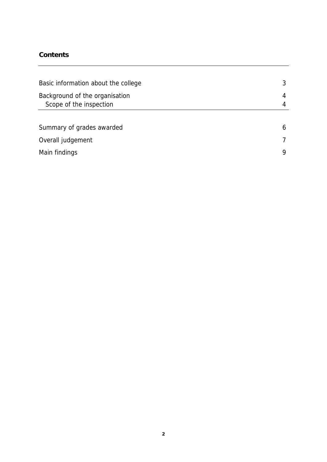## **Contents**

| Basic information about the college                       |   |
|-----------------------------------------------------------|---|
| Background of the organisation<br>Scope of the inspection |   |
|                                                           |   |
| Summary of grades awarded                                 | h |
| Overall judgement                                         |   |
| Main findings                                             |   |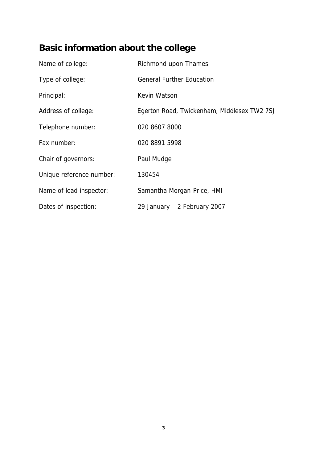## **Basic information about the college**

| Name of college:         | Richmond upon Thames                        |
|--------------------------|---------------------------------------------|
| Type of college:         | <b>General Further Education</b>            |
| Principal:               | Kevin Watson                                |
| Address of college:      | Egerton Road, Twickenham, Middlesex TW2 7SJ |
| Telephone number:        | 020 8607 8000                               |
| Fax number:              | 020 8891 5998                               |
| Chair of governors:      | Paul Mudge                                  |
| Unique reference number: | 130454                                      |
| Name of lead inspector:  | Samantha Morgan-Price, HMI                  |
| Dates of inspection:     | 29 January - 2 February 2007                |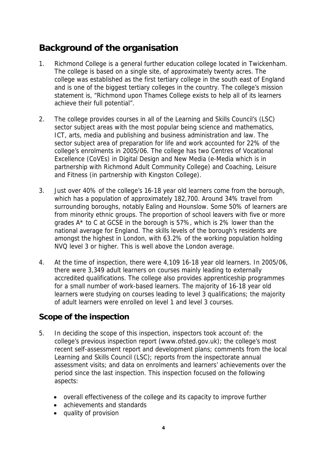## **Background of the organisation**

- 1. Richmond College is a general further education college located in Twickenham. The college is based on a single site, of approximately twenty acres. The college was established as the first tertiary college in the south east of England and is one of the biggest tertiary colleges in the country. The college's mission statement is, "Richmond upon Thames College exists to help all of its learners achieve their full potential".
- 2. The college provides courses in all of the Learning and Skills Council's (LSC) sector subject areas with the most popular being science and mathematics, ICT, arts, media and publishing and business administration and law. The sector subject area of preparation for life and work accounted for 22% of the college's enrolments in 2005/06. The college has two Centres of Vocational Excellence (CoVEs) in Digital Design and New Media (e-Media which is in partnership with Richmond Adult Community College) and Coaching, Leisure and Fitness (in partnership with Kingston College).
- 3. Just over 40% of the college's 16-18 year old learners come from the borough, which has a population of approximately 182,700. Around 34% travel from surrounding boroughs, notably Ealing and Hounslow. Some 50% of learners are from minority ethnic groups. The proportion of school leavers with five or more grades A\* to C at GCSE in the borough is 57%, which is 2% lower than the national average for England. The skills levels of the borough's residents are amongst the highest in London, with 63.2% of the working population holding NVQ level 3 or higher. This is well above the London average.
- 4. At the time of inspection, there were 4,109 16-18 year old learners. In 2005/06, there were 3,349 adult learners on courses mainly leading to externally accredited qualifications. The college also provides apprenticeship programmes for a small number of work-based learners. The majority of 16-18 year old learners were studying on courses leading to level 3 qualifications; the majority of adult learners were enrolled on level 1 and level 3 courses.

## **Scope of the inspection**

- 5. In deciding the scope of this inspection, inspectors took account of: the college's previous inspection report (www.ofsted.gov.uk); the college's most recent self-assessment report and development plans; comments from the local Learning and Skills Council (LSC); reports from the inspectorate annual assessment visits; and data on enrolments and learners' achievements over the period since the last inspection. This inspection focused on the following aspects:
	- overall effectiveness of the college and its capacity to improve further
	- achievements and standards
	- quality of provision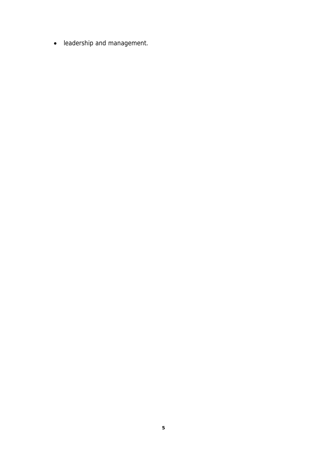leadership and management.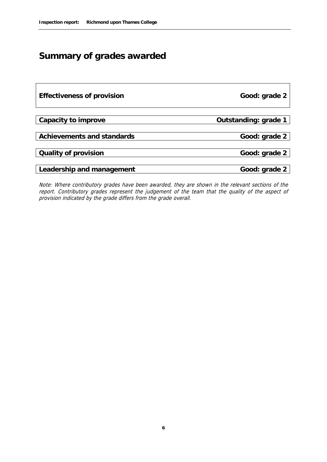## **Summary of grades awarded**

| Effectiveness of provision | Good: grade 2        |
|----------------------------|----------------------|
|                            |                      |
| Capacity to improve        | Outstanding: grade 1 |
|                            |                      |
| Achievements and standards | Good: grade 2        |
|                            |                      |
| Quality of provision       | Good: grade 2        |
|                            |                      |
| Leadership and management  | Good: grade 2        |

Note: Where contributory grades have been awarded, they are shown in the relevant sections of the report. Contributory grades represent the judgement of the team that the quality of the aspect of provision indicated by the grade differs from the grade overall.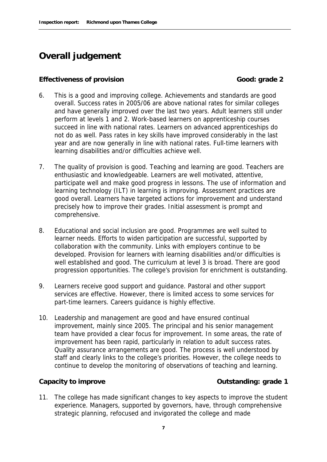## **Overall judgement**

## **Effectiveness of provision Good: grade 2**

- 6. This is a good and improving college. Achievements and standards are good overall. Success rates in 2005/06 are above national rates for similar colleges and have generally improved over the last two years. Adult learners still under perform at levels 1 and 2. Work-based learners on apprenticeship courses succeed in line with national rates. Learners on advanced apprenticeships do not do as well. Pass rates in key skills have improved considerably in the last year and are now generally in line with national rates. Full-time learners with learning disabilities and/or difficulties achieve well.
- 7. The quality of provision is good. Teaching and learning are good. Teachers are enthusiastic and knowledgeable. Learners are well motivated, attentive, participate well and make good progress in lessons. The use of information and learning technology (ILT) in learning is improving. Assessment practices are good overall. Learners have targeted actions for improvement and understand precisely how to improve their grades. Initial assessment is prompt and comprehensive.
- 8. Educational and social inclusion are good. Programmes are well suited to learner needs. Efforts to widen participation are successful, supported by collaboration with the community. Links with employers continue to be developed. Provision for learners with learning disabilities and/or difficulties is well established and good. The curriculum at level 3 is broad. There are good progression opportunities. The college's provision for enrichment is outstanding.
- 9. Learners receive good support and guidance. Pastoral and other support services are effective. However, there is limited access to some services for part-time learners. Careers guidance is highly effective.
- 10. Leadership and management are good and have ensured continual improvement, mainly since 2005. The principal and his senior management team have provided a clear focus for improvement. In some areas, the rate of improvement has been rapid, particularly in relation to adult success rates. Quality assurance arrangements are good. The process is well understood by staff and clearly links to the college's priorities. However, the college needs to continue to develop the monitoring of observations of teaching and learning.

## **Capacity to improve Capacity to improve Capacity to improve Capacity to improve**

11. The college has made significant changes to key aspects to improve the student experience. Managers, supported by governors, have, through comprehensive strategic planning, refocused and invigorated the college and made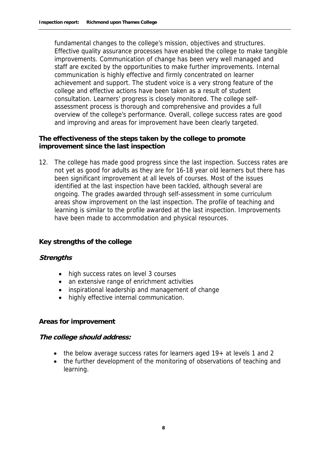fundamental changes to the college's mission, objectives and structures. Effective quality assurance processes have enabled the college to make tangible improvements. Communication of change has been very well managed and staff are excited by the opportunities to make further improvements. Internal communication is highly effective and firmly concentrated on learner achievement and support. The student voice is a very strong feature of the college and effective actions have been taken as a result of student consultation. Learners' progress is closely monitored. The college selfassessment process is thorough and comprehensive and provides a full overview of the college's performance. Overall, college success rates are good and improving and areas for improvement have been clearly targeted.

**The effectiveness of the steps taken by the college to promote improvement since the last inspection**

12. The college has made good progress since the last inspection. Success rates are not yet as good for adults as they are for 16-18 year old learners but there has been significant improvement at all levels of courses. Most of the issues identified at the last inspection have been tackled, although several are ongoing. The grades awarded through self-assessment in some curriculum areas show improvement on the last inspection. The profile of teaching and learning is similar to the profile awarded at the last inspection. Improvements have been made to accommodation and physical resources.

## **Key strengths of the college**

## **Strengths**

- high success rates on level 3 courses
- an extensive range of enrichment activities
- inspirational leadership and management of change
- highly effective internal communication.

## **Areas for improvement**

## **The college should address:**

- the below average success rates for learners aged 19+ at levels 1 and 2
- the further development of the monitoring of observations of teaching and learning.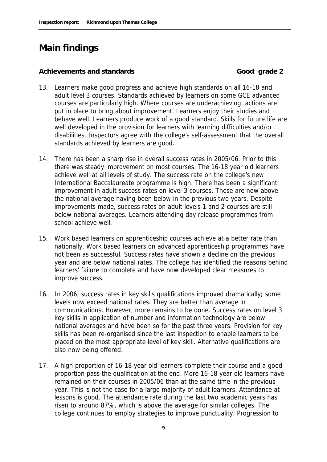## **Main findings**

#### Achievements and standards<br> **Good:** grade 2

- 13. Learners make good progress and achieve high standards on all 16-18 and adult level 3 courses. Standards achieved by learners on some GCE advanced courses are particularly high. Where courses are underachieving, actions are put in place to bring about improvement. Learners enjoy their studies and behave well. Learners produce work of a good standard. Skills for future life are well developed in the provision for learners with learning difficulties and/or disabilities. Inspectors agree with the college's self-assessment that the overall standards achieved by learners are good.
- 14. There has been a sharp rise in overall success rates in 2005/06. Prior to this there was steady improvement on most courses. The 16-18 year old learners achieve well at all levels of study. The success rate on the college's new International Baccalaureate programme is high. There has been a significant improvement in adult success rates on level 3 courses. These are now above the national average having been below in the previous two years. Despite improvements made, success rates on adult levels 1 and 2 courses are still below national averages. Learners attending day release programmes from school achieve well.
- 15. Work based learners on apprenticeship courses achieve at a better rate than nationally. Work based learners on advanced apprenticeship programmes have not been as successful. Success rates have shown a decline on the previous year and are below national rates. The college has identified the reasons behind learners' failure to complete and have now developed clear measures to improve success.
- 16. In 2006, success rates in key skills qualifications improved dramatically; some levels now exceed national rates. They are better than average in communications. However, more remains to be done. Success rates on level 3 key skills in application of number and information technology are below national averages and have been so for the past three years. Provision for key skills has been re-organised since the last inspection to enable learners to be placed on the most appropriate level of key skill. Alternative qualifications are also now being offered.
- 17. A high proportion of 16-18 year old learners complete their course and a good proportion pass the qualification at the end. More 16-18 year old learners have remained on their courses in 2005/06 than at the same time in the previous year. This is not the case for a large majority of adult learners. Attendance at lessons is good. The attendance rate during the last two academic years has risen to around 87%, which is above the average for similar colleges. The college continues to employ strategies to improve punctuality. Progression to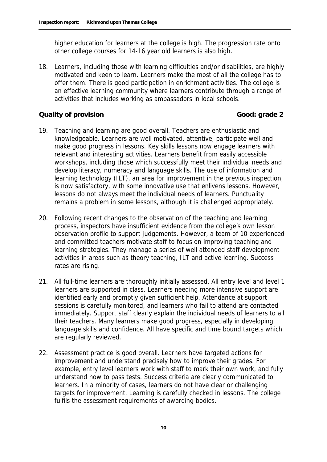higher education for learners at the college is high. The progression rate onto other college courses for 14-16 year old learners is also high.

18. Learners, including those with learning difficulties and/or disabilities, are highly motivated and keen to learn. Learners make the most of all the college has to offer them. There is good participation in enrichment activities. The college is an effective learning community where learners contribute through a range of activities that includes working as ambassadors in local schools.

## **Quality of provision Good: grade 2 Good: grade 2**

- 19. Teaching and learning are good overall. Teachers are enthusiastic and knowledgeable. Learners are well motivated, attentive, participate well and make good progress in lessons. Key skills lessons now engage learners with relevant and interesting activities. Learners benefit from easily accessible workshops, including those which successfully meet their individual needs and develop literacy, numeracy and language skills. The use of information and learning technology (ILT), an area for improvement in the previous inspection, is now satisfactory, with some innovative use that enlivens lessons. However, lessons do not always meet the individual needs of learners. Punctuality remains a problem in some lessons, although it is challenged appropriately.
- 20. Following recent changes to the observation of the teaching and learning process, inspectors have insufficient evidence from the college's own lesson observation profile to support judgements. However, a team of 10 experienced and committed teachers motivate staff to focus on improving teaching and learning strategies. They manage a series of well attended staff development activities in areas such as theory teaching, ILT and active learning. Success rates are rising.
- 21. All full-time learners are thoroughly initially assessed. All entry level and level 1 learners are supported in class. Learners needing more intensive support are identified early and promptly given sufficient help. Attendance at support sessions is carefully monitored, and learners who fail to attend are contacted immediately. Support staff clearly explain the individual needs of learners to all their teachers. Many learners make good progress, especially in developing language skills and confidence. All have specific and time bound targets which are regularly reviewed.
- 22. Assessment practice is good overall. Learners have targeted actions for improvement and understand precisely how to improve their grades. For example, entry level learners work with staff to mark their own work, and fully understand how to pass tests. Success criteria are clearly communicated to learners. In a minority of cases, learners do not have clear or challenging targets for improvement. Learning is carefully checked in lessons. The college fulfils the assessment requirements of awarding bodies.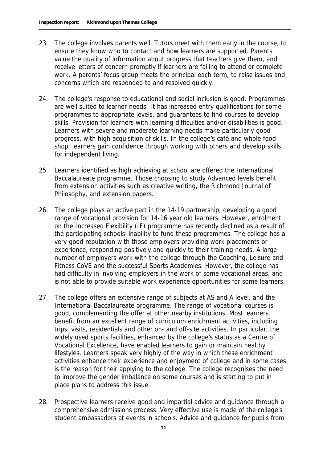- 23. The college involves parents well. Tutors meet with them early in the course, to ensure they know who to contact and how learners are supported. Parents value the quality of information about progress that teachers give them, and receive letters of concern promptly if learners are failing to attend or complete work. A parents' focus group meets the principal each term, to raise issues and concerns which are responded to and resolved quickly.
- 24. The college's response to educational and social inclusion is good. Programmes are well suited to learner needs. It has increased entry qualifications for some programmes to appropriate levels, and guarantees to find courses to develop skills. Provision for learners with learning difficulties and/or disabilities is good. Learners with severe and moderate learning needs make particularly good progress, with high acquisition of skills. In the college's café and whole food shop, learners gain confidence through working with others and develop skills for independent living.
- 25. Learners identified as high achieving at school are offered the International Baccalaureate programme. Those choosing to study Advanced levels benefit from extension activities such as creative writing, the Richmond Journal of Philosophy, and extension papers.
- 26. The college plays an active part in the 14-19 partnership, developing a good range of vocational provision for 14-16 year old learners. However, enrolment on the Increased Flexibility (IF) programme has recently declined as a result of the participating schools' inability to fund these programmes. The college has a very good reputation with those employers providing work placements or experience, responding positively and quickly to their training needs. A large number of employers work with the college through the Coaching, Leisure and Fitness CoVE and the successful Sports Academies. However, the college has had difficulty in involving employers in the work of some vocational areas, and is not able to provide suitable work experience opportunities for some learners.
- 27. The college offers an extensive range of subjects at AS and A level, and the International Baccalaureate programme. The range of vocational courses is good, complementing the offer at other nearby institutions. Most learners benefit from an excellent range of curriculum enrichment activities, including trips, visits, residentials and other on- and off-site activities. In particular, the widely used sports facilities, enhanced by the college's status as a Centre of Vocational Excellence, have enabled learners to gain or maintain healthy lifestyles. Learners speak very highly of the way in which these enrichment activities enhance their experience and enjoyment of college and in some cases is the reason for their applying to the college. The college recognises the need to improve the gender imbalance on some courses and is starting to put in place plans to address this issue.
- 28. Prospective learners receive good and impartial advice and guidance through a comprehensive admissions process. Very effective use is made of the college's student ambassadors at events in schools. Advice and guidance for pupils from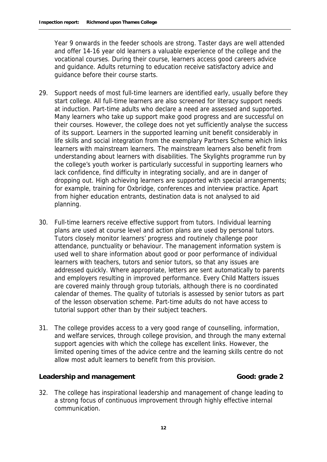Year 9 onwards in the feeder schools are strong. Taster days are well attended and offer 14-16 year old learners a valuable experience of the college and the vocational courses. During their course, learners access good careers advice and guidance. Adults returning to education receive satisfactory advice and guidance before their course starts.

- 29. Support needs of most full-time learners are identified early, usually before they start college. All full-time learners are also screened for literacy support needs at induction. Part-time adults who declare a need are assessed and supported. Many learners who take up support make good progress and are successful on their courses. However, the college does not yet sufficiently analyse the success of its support. Learners in the supported learning unit benefit considerably in life skills and social integration from the exemplary Partners Scheme which links learners with mainstream learners. The mainstream learners also benefit from understanding about learners with disabilities. The Skylights programme run by the college's youth worker is particularly successful in supporting learners who lack confidence, find difficulty in integrating socially, and are in danger of dropping out. High achieving learners are supported with special arrangements; for example, training for Oxbridge, conferences and interview practice. Apart from higher education entrants, destination data is not analysed to aid planning.
- 30. Full-time learners receive effective support from tutors. Individual learning plans are used at course level and action plans are used by personal tutors. Tutors closely monitor learners' progress and routinely challenge poor attendance, punctuality or behaviour. The management information system is used well to share information about good or poor performance of individual learners with teachers, tutors and senior tutors, so that any issues are addressed quickly. Where appropriate, letters are sent automatically to parents and employers resulting in improved performance. Every Child Matters issues are covered mainly through group tutorials, although there is no coordinated calendar of themes. The quality of tutorials is assessed by senior tutors as part of the lesson observation scheme. Part-time adults do not have access to tutorial support other than by their subject teachers.
- 31. The college provides access to a very good range of counselling, information, and welfare services, through college provision, and through the many external support agencies with which the college has excellent links. However, the limited opening times of the advice centre and the learning skills centre do not allow most adult learners to benefit from this provision.

## Leadership and management **Cool**: grade 2

32. The college has inspirational leadership and management of change leading to a strong focus of continuous improvement through highly effective internal communication.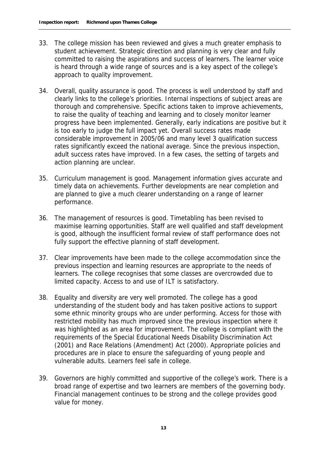- 33. The college mission has been reviewed and gives a much greater emphasis to student achievement. Strategic direction and planning is very clear and fully committed to raising the aspirations and success of learners. The learner voice is heard through a wide range of sources and is a key aspect of the college's approach to quality improvement.
- 34. Overall, quality assurance is good. The process is well understood by staff and clearly links to the college's priorities. Internal inspections of subject areas are thorough and comprehensive. Specific actions taken to improve achievements, to raise the quality of teaching and learning and to closely monitor learner progress have been implemented. Generally, early indications are positive but it is too early to judge the full impact yet. Overall success rates made considerable improvement in 2005/06 and many level 3 qualification success rates significantly exceed the national average. Since the previous inspection, adult success rates have improved. In a few cases, the setting of targets and action planning are unclear.
- 35. Curriculum management is good. Management information gives accurate and timely data on achievements. Further developments are near completion and are planned to give a much clearer understanding on a range of learner performance.
- 36. The management of resources is good. Timetabling has been revised to maximise learning opportunities. Staff are well qualified and staff development is good, although the insufficient formal review of staff performance does not fully support the effective planning of staff development.
- 37. Clear improvements have been made to the college accommodation since the previous inspection and learning resources are appropriate to the needs of learners. The college recognises that some classes are overcrowded due to limited capacity. Access to and use of ILT is satisfactory.
- 38. Equality and diversity are very well promoted. The college has a good understanding of the student body and has taken positive actions to support some ethnic minority groups who are under performing. Access for those with restricted mobility has much improved since the previous inspection where it was highlighted as an area for improvement. The college is compliant with the requirements of the Special Educational Needs Disability Discrimination Act (2001) and Race Relations (Amendment) Act (2000). Appropriate policies and procedures are in place to ensure the safeguarding of young people and vulnerable adults. Learners feel safe in college.
- 39. Governors are highly committed and supportive of the college's work. There is a broad range of expertise and two learners are members of the governing body. Financial management continues to be strong and the college provides good value for money.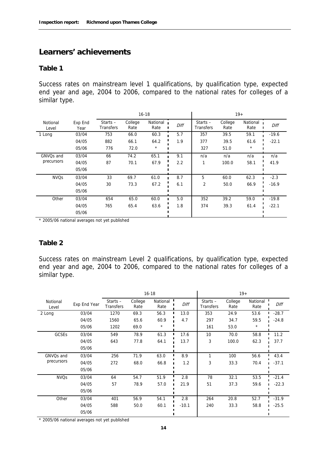## **Learners' achievements**

#### **Table 1**

Success rates on mainstream level 1 qualifications, by qualification type, expected end year and age, 2004 to 2006, compared to the national rates for colleges of a similar type.

|                        |                 | $16 - 18$               |                 |                  |      |                         |                 | $19+$            |         |
|------------------------|-----------------|-------------------------|-----------------|------------------|------|-------------------------|-----------------|------------------|---------|
| Notional<br>Level      | Exp End<br>Year | Starts $-$<br>Transfers | College<br>Rate | National<br>Rate | Diff | Starts $-$<br>Transfers | College<br>Rate | National<br>Rate | Diff    |
| 1 Long                 | 03/04           | 753                     | 66.0            | 60.3             | 5.7  | 357                     | 39.5            | 59.1             | $-19.6$ |
|                        | 04/05           | 882                     | 66.1            | 64.2             | 1.9  | 377                     | 39.5            | 61.6             | $-22.1$ |
|                        | 05/06           | 776                     | 72.0            | $^{\star}$       |      | 327                     | 51.0            | $^\star$         |         |
| GNVQs and              | 03/04           | 66                      | 74.2            | 65.1             | 9.1  | n/a                     | n/a             | n/a              | n/a     |
| precursors             | 04/05           | 87                      | 70.1            | 67.9             | 2.2  | 1                       | 100.0           | 58.1             | 41.9    |
|                        | 05/06           |                         |                 |                  |      |                         |                 |                  |         |
| <b>NVO<sub>S</sub></b> | 03/04           | 33                      | 69.7            | 61.0             | 8.7  | 5                       | 60.0            | 62.3             | $-2.3$  |
|                        | 04/05           | 30                      | 73.3            | 67.2             | 6.1  | 2                       | 50.0            | 66.9             | $-16.9$ |
|                        | 05/06           |                         |                 |                  |      |                         |                 |                  |         |
| Other                  | 03/04           | 654                     | 65.0            | 60.0             | 5.0  | 352                     | 39.2            | 59.0             | $-19.8$ |
|                        | 04/05           | 765                     | 65.4            | 63.6             | 1.8  | 374                     | 39.3            | 61.4             | $-22.1$ |
|                        | 05/06           |                         |                 |                  |      |                         |                 |                  |         |

\* 2005/06 national averages not yet published

#### **Table 2**

Success rates on mainstream Level 2 qualifications, by qualification type, expected end year and age, 2004 to 2006, compared to the national rates for colleges of a similar type.

|                   |              |                                |                 | $16 - 18$        |         | $19+$                          |                 |                  |         |
|-------------------|--------------|--------------------------------|-----------------|------------------|---------|--------------------------------|-----------------|------------------|---------|
| Notional<br>Level | Exp End Year | Starts $-$<br><b>Transfers</b> | College<br>Rate | National<br>Rate | Diff    | Starts $-$<br><b>Transfers</b> | College<br>Rate | National<br>Rate | Diff    |
| 2 Long            | 03/04        | 1270                           | 69.3            | 56.3             | 13.0    | 353                            | 24.9            | 53.6             | $-28.7$ |
|                   | 04/05        | 1560                           | 65.6            | 60.9             | 4.7     | 297                            | 34.7            | 59.5             | $-24.8$ |
|                   | 05/06        | 1202                           | 69.0            | $^\star$         |         | 161                            | 53.0            | $\star$          |         |
| GCSEs             | 03/04        | 549                            | 78.9            | 61.3             | 17.6    | 10                             | 70.0            | 58.8             | 11.2    |
|                   | 04/05        | 643                            | 77.8            | 64.1             | 13.7    | 3                              | 100.0           | 62.3             | 37.7    |
|                   | 05/06        |                                |                 |                  |         |                                |                 |                  |         |
| GNVQs and         | 03/04        | 256                            | 71.9            | 63.0             | 8.9     | 1                              | 100             | 56.6             | 43.4    |
| precursors        | 04/05        | 272                            | 68.0            | 66.8             | 1.2     | 3                              | 33.3            | 70.4             | $-37.1$ |
|                   | 05/06        |                                |                 |                  |         |                                |                 |                  |         |
| <b>NVQs</b>       | 03/04        | 64                             | 54.7            | 51.9             | 2.8     | 78                             | 32.1            | 53.5             | $-21.4$ |
|                   | 04/05        | 57                             | 78.9            | 57.0             | 21.9    | 51                             | 37.3            | 59.6             | $-22.3$ |
|                   | 05/06        |                                |                 |                  |         |                                |                 |                  |         |
| Other             | 03/04        | 401                            | 56.9            | 54.1             | 2.8     | 264                            | 20.8            | 52.7             | $-31.9$ |
|                   | 04/05        | 588                            | 50.0            | 60.1             | $-10.1$ | 240                            | 33.3            | 58.8             | $-25.5$ |
|                   | 05/06        |                                |                 |                  |         |                                |                 |                  |         |

\* 2005/06 national averages not yet published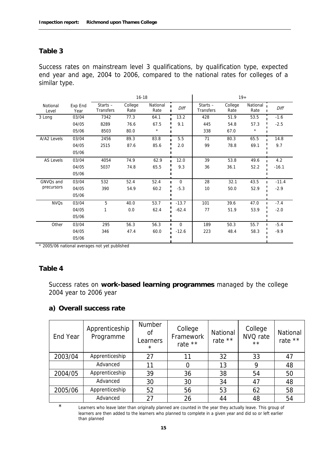## **Table 3**

Success rates on mainstream level 3 qualifications, by qualification type, expected end year and age, 2004 to 2006, compared to the national rates for colleges of a similar type.

|                   |                 | $16 - 18$                      |                 |                  |             |                         | $19+$           |                    |         |
|-------------------|-----------------|--------------------------------|-----------------|------------------|-------------|-------------------------|-----------------|--------------------|---------|
| Notional<br>Level | Exp End<br>Year | Starts $-$<br><b>Transfers</b> | College<br>Rate | National<br>Rate | Diff        | Starts $-$<br>Transfers | College<br>Rate | National 1<br>Rate | Diff    |
| 3 Long            | 03/04           | 7342                           | 77.3            | 64.1             | 13.2        | 428                     | 51.9            | 53.5               | $-1.6$  |
|                   | 04/05           | 8289                           | 76.6            | 67.5             | 9.1         | 445                     | 54.8            | 57.3               | $-2.5$  |
|                   | 05/06           | 8503                           | 80.0            | $^\star$         |             | 338                     | 67.0            | $\star$            |         |
| A/A2 Levels       | 03/04           | 2456                           | 89.3            | 83.8             | 5.5         | 71                      | 80.3            | 65.5               | 14.8    |
|                   | 04/05           | 2515                           | 87.6            | 85.6             | 2.0         | 99                      | 78.8            | 69.1               | 9.7     |
|                   | 05/06           |                                |                 |                  |             |                         |                 |                    |         |
| <b>AS Levels</b>  | 03/04           | 4054                           | 74.9            | 62.9             | 12.0        | 39                      | 53.8            | 49.6               | 4.2     |
|                   | 04/05           | 5037                           | 74.8            | 65.5             | 9.3         | 36                      | 36.1            | 52.2               | $-16.1$ |
|                   | 05/06           |                                |                 |                  |             |                         |                 |                    |         |
| GNVQs and         | 03/04           | 532                            | 52.4            | 52.4             | $\mathbf 0$ | 28                      | 32.1            | 43.5               | $-11.4$ |
| precursors        | 04/05           | 390                            | 54.9            | 60.2             | $-5.3$      | 10                      | 50.0            | 52.9               | $-2.9$  |
|                   | 05/06           |                                |                 |                  |             |                         |                 |                    |         |
| <b>NVQs</b>       | 03/04           | 5                              | 40.0            | 53.7             | $-13.7$     | 101                     | 39.6            | 47.0               | $-7.4$  |
|                   | 04/05           | 1                              | 0.0             | 62.4             | $-62.4$     | 77                      | 51.9            | 53.9               | $-2.0$  |
|                   | 05/06           |                                |                 |                  |             |                         |                 |                    |         |
| Other             | 03/04           | 295                            | 56.3            | 56.3             | $\mathbf 0$ | 189                     | 50.3            | 55.7               | $-5.4$  |
|                   | 04/05           | 346                            | 47.4            | 60.0             | $-12.6$     | 223                     | 48.4            | 58.3               | $-9.9$  |
|                   | 05/06           |                                |                 |                  |             |                         |                 |                    |         |

\* 2005/06 national averages not yet published

#### **Table 4**

Success rates on **work-based learning programmes** managed by the college 2004 year to 2006 year

#### **a) Overall success rate**

| End Year | Apprenticeship<br>Programme | Number<br>0f<br>Learners<br>$\star$ | College<br>Framework<br>rate ** | National<br>rate ** | College<br>NVQ rate<br>$\star\star$ | National<br>rate ** |
|----------|-----------------------------|-------------------------------------|---------------------------------|---------------------|-------------------------------------|---------------------|
| 2003/04  | Apprenticeship              | 27                                  | 11                              | 32                  | 33                                  | 47                  |
|          | Advanced                    | 11                                  | 0                               | 13                  | 9                                   | 48                  |
| 2004/05  | Apprenticeship              | 39                                  | 36                              | 38                  | 54                                  | 50                  |
|          | Advanced                    | 30                                  | 30                              | 34                  | 47                                  | 48                  |
| 2005/06  | Apprenticeship              | 52                                  | 56                              | 53                  | 62                                  | 58                  |
|          | Advanced                    | 27                                  | 26                              | 44                  | 48                                  | 54                  |

\* Learners who leave later than originally planned are counted in the year they actually leave. This group of learners are then added to the learners who planned to complete in a given year and did so or left earlier than planned